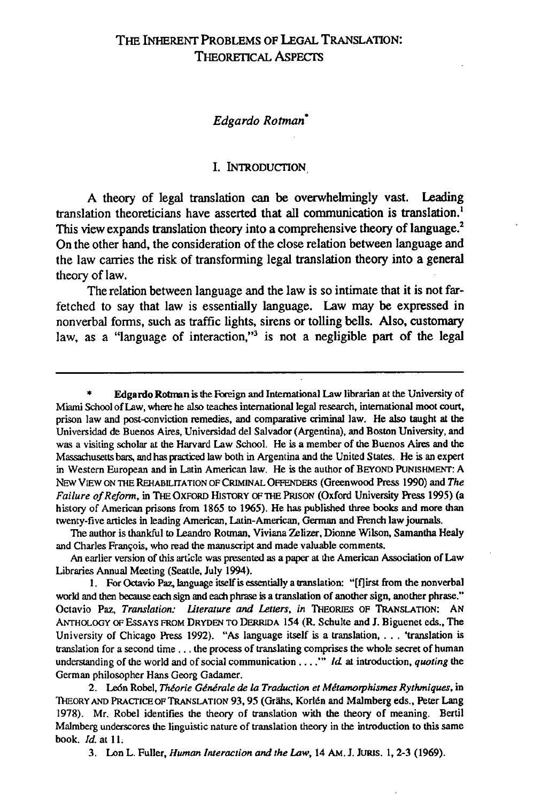## Edgardo Rotman\*

#### I. **INTRODUCTION,**

**A** theory of legal translation can be overwhelmingly vast. Leading translation theoreticians have asserted that all communication is translation., This view expands translation theory into a comprehensive theory of language.<sup>2</sup> On the other hand, the consideration of the close relation between language and the law carries the risk of transforming legal translation theory into a general theory of law.

The relation between language and the law is so intimate that it is not farfetched to say that law is essentially language. Law may be expressed in nonverbal forms, such as traffic lights, sirens or tolling bells. Also, customary law, as a "language of interaction,"<sup>3</sup> is not a negligible part of the legal

The author is thankful to Leandro Rotman, Viviana Zelizer, Dionne Wilson, Samantha Healy and Charles Franqois, who read the manuscript and made valuable comments.

An earlier version of this article was presented as a paper at the American Association of Law Libraries Annual Meeting (Seattle, July 1994).

**1.** For Octavio Paz, language itself is essentially a translation: "[flirst from the nonverbal world and then because each sign and each phrase is a translation of another sign, another phrase." Octavio Paz, *Translation: Literature and Letters, in* THEORIES OF TRANSLATION: AN ANTHOLOGY OF ESSAYS FROM DRYDEN TO DERRIDA 154 (R. Schulte and J. Biguenet eds., The University of Chicago Press 1992). "As language itself is a translation, . **.** . 'translation is translation for a second time.., the process of translating comprises the whole secret of human understanding of the world and of social communication ... .<sup>"</sup> *Id* at introduction, *quoting* the German philosopher Hans Georg Gadamer.

2. León Robel, *Théorie Générale de la Traduction et Métamorphismes Rythmiques*, in THEORY AND PRACTICE OF TRANSLATION 93, 95 (Grähs, Korlén and Malmberg eds., Peter Lang 1978). Mr. Robel identifies the theory of translation with the theory of meaning. Bertil Malmberg underscores the linguistic nature of translation theory in the introduction to this same book. Id. at 11.

3. Lon L. Fuller, *Human Interaction and the Law,* 14 AM. **J.** JURIS. 1, 2-3 (1969).

**<sup>\*</sup>** Edgardo Rotman is the Foreign and International Law librarian at the University of Miami School of Law, where he also teaches international legal research, international moot court, prison law and post-conviction remedies, and comparative criminal law. He also taught at the Universidad de Buenos Aires, Universidad del Salvador (Argentina), and Boston University, and was a visiting scholar at the Harvard Law School. He is a member of the Buenos Aires and the Massachusetts bars, and has practiced law both in Argentina and the United States. He is an expert in Western European and in Latin American law. He is the author of BEYOND PUNISHMENT: A NEw VIEW ON ThE REHABILITATION OF CRIMINAL OFFENDE.RS (Greenwood Press **1990)** and *The Failure of Reform,* in THE OXFORD HISTORY OF THE PRISON (Oxford University Press 1995) (a history of American prisons from 1865 to 1965). He has published three books and more than twenty-five articles in leading American, Latin-American, German and French law journals.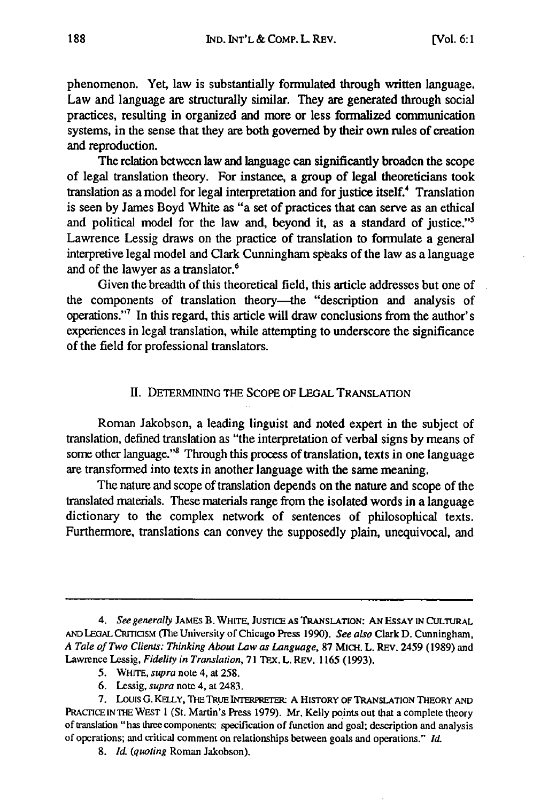phenomenon. Yet, law is substantially formulated through written language. Law and language are structurally similar. They are generated through social practices, resulting in organized and more or less formalized communication systems, in the sense that they are both governed **by** their own rules of creation and reproduction.

The relation between law and language can significantly broaden the scope of legal translation theory. For instance, a group of legal theoreticians took translation as a model for legal interpretation and for justice itself.<sup>4</sup> Translation is seen by James Boyd White as "a set of practices that can serve as an ethical and political model for the law and, beyond it, as a standard of justice."5 Lawrence Lessig draws on the practice of translation to formulate a general interpretive legal model and Clark Cunningham speaks of the law as a language and of the lawyer as a translator.<sup>6</sup>

Given the breadth of this theoretical field, this article addresses but one of the components of translation theory-the "description and analysis of operations."7 In this regard, this article will draw conclusions from the author's experiences in legal translation, while attempting to underscore the significance of the field for professional translators.

## II. **DETERMINING** THE SCOPE **OF LEGAL TRANSLATION**

Roman Jakobson, a leading linguist and noted expert in the subject of translation, defined translation as "the interpretation of verbal signs by means of some other language."<sup>8</sup> Through this process of translation, texts in one language are transformed into texts in another language with the same meaning.

The nature and scope of translation depends on the nature and scope of the translated materials. These materials range from the isolated words in a language dictionary to the complex network of sentences of philosophical texts. Furthermore, translations can convey the supposedly plain, unequivocal, and

- **5. WHITE,** *supra* note 4, at **258.**
- **6.** Lessig, *supra* note 4, at 2483.
- 7. **Louis** G. **KELLY, THE TRUE INTEmx A HISTORY** OF **TRANSLATION** THEORY **AND** PRACTICE **IN THE** WEST **I** (St. Martin's Press 1979). Mr. Kelly points out that a complete theory of translation "has three components: specification of function and goal; description and analysis of operations; and critical comment on relationships between goals and operations." *Id.*

8. *Id. (quoting* Roman Jakobson).

*<sup>4.</sup> See generally* **JAMES B. WHITE, JUSTICE** AS **TRANSLATION: AN ESSAY IN CULTURAL AND LEGAL CRrICISM (The** University of Chicago Press **1990).** *See also* **Clark D. Cunningham,** *A Tale of Two Clients: Thinking About* Law *as Language,* 87 MICH. L. REV. 2459 **(1989)** and Lawrence Lessig, *Fidelity in Translation,* **71 TEX. L. REV. 1165 (1993).**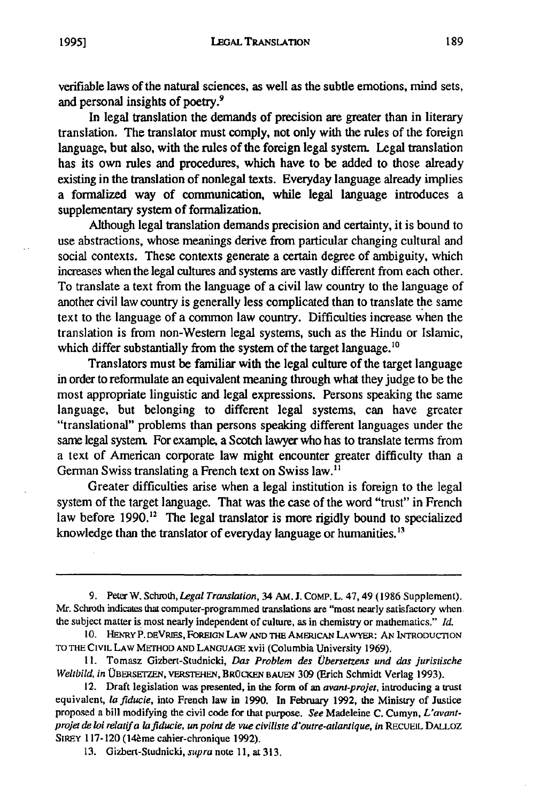**1995]**

verifiable laws of the natural sciences, as well as the subtle emotions, mind sets, and personal insights of poetry.<sup>9</sup>

In legal translation the demands of precision are greater than in literary translation. The translator must comply, not only with the rules of the foreign language, but also, with the rules of the foreign legal system. Legal translation has its own rules and procedures, which have to be added to those already existing in the translation of nonlegal texts. Everyday language already implies a formalized way of communication, while legal language introduces a supplementary system of formalization.

Although legal translation demands precision and certainty, it is bound to use abstractions, whose meanings derive from particular changing cultural and social contexts. These contexts generate a certain degree of ambiguity, which increases when the legal cultures and systems are vastly different from each other. To translate a text from the language of a civil law country to the language of another civil law country is generally less complicated than to translate the same text to the language of a common law country. Difficulties increase when the translation is from non-Western legal systems, such as the Hindu or Islamic, which differ substantially from the system of the target language.<sup>10</sup>

Translators must be familiar with the legal culture of the target language in order to reformulate an equivalent meaning through what they judge to be the most appropriate linguistic and legal expressions. Persons speaking the same language, but belonging to different legal systems, can have greater "translational" problems than persons speaking different languages under the same legal system. For example, a Scotch lawyer who has to translate terms from a text of American corporate law might encounter greater difficulty than a German Swiss translating a French text on Swiss law.<sup>11</sup>

Greater difficulties arise when a legal institution is foreign to the legal system of the target language. That was the case of the word "trust" in French law before  $1990.<sup>12</sup>$  The legal translator is more rigidly bound to specialized knowledge than the translator of everyday language or humanities.<sup>13</sup>

9. Peter W. Schroth, *Legal Translation,* 34 AM. J. COMP. L. 47, 49 (1986 Supplement). Mr. Schroth indicates that computer-programmed translations are "most nearly satisfactory when the subject matter is most nearly independent of culture, as in chemistry or mathematics." *Id.*

**<sup>10.</sup>** HENRY P. DEVRIES, FOREIGN **LAW AND THE** AMEICAN LAWYER: AN INTRODUCTION **TO THE** CIVIL LAW METHOD **AND** LANGUAGE xvii (Columbia University 1969).

**<sup>11.</sup>** Tomasz Gizbert-Studnicki, *Das Problem des Ubersetzens und dos* juristische *Weltbild, in* **OBERSETEN,** VERsTEHEN, BROCKEN BAuEN **309** (Erich Schmidt Verlag **1993).**

<sup>12.</sup> Draft legislation was presented, in the form of an *avant-projet,* introducing a trust equivalent, *lafiducie,* into French law in **1990.** In February **1992,** the Ministry of Justice proposed a bill modifying the civil code for that purpose. *See* Madeleine **C.** Cumyn, *L'avantprojet de loi relatif a lafiducie, un point de vue civiliste d'outre-atlantique, in* **RECUEIL DALLOZ** SIREY 117-120 (14 è me cahier-chronique 1992).

**<sup>13.</sup>** Gizbert-Studnicki, supra note **11, at 313.**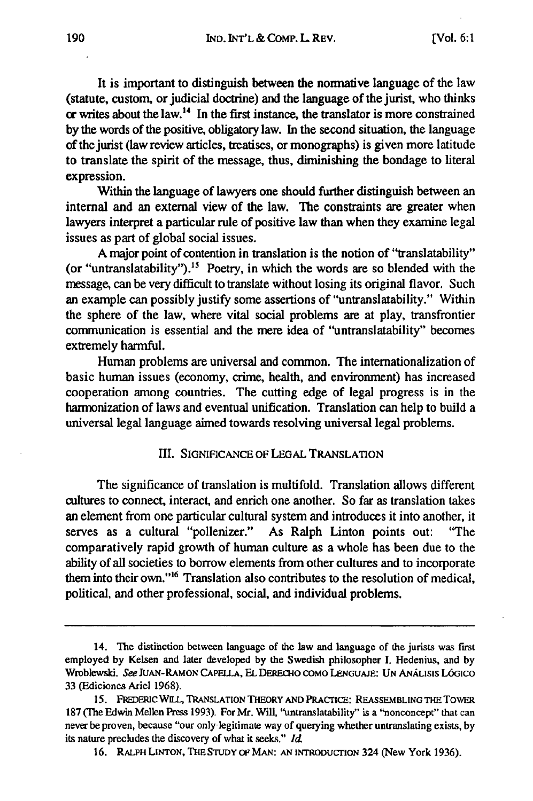It is important to distinguish between the normative language of the law (statute, custom, or judicial doctrine) and the language of the jurist, who thinks **or writes about the law.<sup>14</sup>** In the first instance, the translator is more constrained **by** the words of the positive, obligatory law. In the second situation, the language of the jurist (law review articles, treatises, or monographs) is given more latitude to translate the spirit of the message, thus, diminishing the bondage to literal expression.

Within the language of lawyers one should further distinguish between an internal and an external view of the law. **The** constraints are greater when lawyers interpret a particular rule of positive law than when they examine legal issues as part of global social issues.

**A** major point of contention in translation is the notion of "translatability" (or "untranslatability").<sup>15</sup> Poetry, in which the words are so blended with the message, can be very difficult to translate without losing its original flavor. Such an example can possibly justify some assertions of "untranslatability." Within the sphere of the law, where vital social problems are at play, transfrontier communication is essential and the mere idea of "untranslatability" becomes extremely harmful.

Human problems are universal and common. The internationalization of basic human issues (economy, crime, health, and environment) has increased cooperation among countries. The cutting edge of legal progress is in the harmonization of laws and eventual unification. Translation can help to build a universal legal language aimed towards resolving universal legal problems.

#### HI. SIGNIFICANCE OF LEGAL **TRANSLATION**

The significance of translation is multifold. Translation allows different cultures to connect, interact, and enrich one another. So far as translation takes an element from one particular cultural system and introduces it into another, it serves as a cultural "pollenizer." As Ralph Linton points out: "The comparatively rapid growth of human culture as a whole has been due to the ability of all societies to borrow elements from other cultures and to incorporate them into their own."<sup>16</sup> Translation also contributes to the resolution of medical, political, and other professional, social, and individual problems.

<sup>14.</sup> The distinction between language of the law and language of the jurists was first employed by Kelsen and later developed by the Swedish philosopher I. Hedenius, and by Wroblewski. See JUAN-RAMON **CAPELLA,** EL DERo-tio COMO **LENGUAJE: UN** ANALISIS L6GiCO 33 (Ediciones Ariel 1968).

<sup>15.</sup> FREDEmc WLL, TRANSLATION THEORY AND PRACrICE: REASSEMBLING THE ToWER 187 (The Edwin Mellen Press 1993). For Mr. Will, "untranslatability" is a "nonconcept" that can never be proven, because "our only legitimate way of querying whether untranslating exists, by its nature precludes the discovery of what it seeks." **Id**

<sup>16.</sup> RALPH LINTON, **THE STUDY OF** MAN: **AN** INTRODUCTION 324 (New York 1936).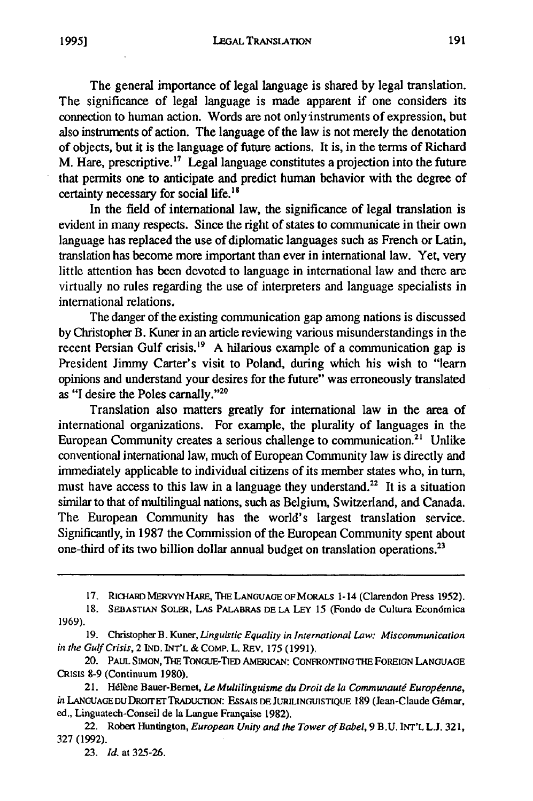**LEGAL** TRANSLATION

The general importance of legal language is shared by legal translation. The significance of legal language is made apparent if one considers its connection to human action. Words are not only instruments of expression, but also instrunents of action. The language of the law is not merely the denotation of objects, but it is the language of future actions. It is, in the terms of Richard M. Hare, prescriptive." Legal language constitutes a projection into the future that permits one to anticipate and predict human behavior with the degree of certainty necessary for social life.<sup>18</sup>

In the field of international law, the significance of legal translation is evident in many respects. Since the right of states to communicate in their own language has replaced the use of diplomatic languages such as French or Latin, translation has become more important than ever in international law. Yet, very little attention has been devoted to language in international law and there are virtually no rules regarding the use of interpreters and language specialists in international relations,

The danger of the existing communication gap among nations is discussed by Christopher B. Kuner in an article reviewing various misunderstandings in the recent Persian Gulf crisis.<sup>19</sup> A hilarious example of a communication gap is President Jimmy Carter's visit to Poland, during which his wish to "learn opinions and understand your desires for the future" was erroneously translated as "I desire the Poles carnally."2

Translation also matters greatly for international law in the area of international organizations. For example, the plurality of languages in the European Community creates a serious challenge to communication.2' Unlike conventional international law, much of European Community law is directly and immediately applicable to individual citizens of its member states who, in turn, must have access to this law in a language they understand.<sup>22</sup> It is a situation similar to that of multilingual nations, such as Belgium, Switzerland, and Canada. The European Community has the world's largest translation service. Significantly, in 1987 the Commission of the European Community spent about one-third of its two billion dollar annual budget on translation operations.<sup>23</sup>

<sup>17.</sup> RiQ-ARD MERVYN HARE, **THE** LANGUAGE OF MORALS 1-14 (Clarendon Press **1952).**

**<sup>18.</sup>** SEBASTIAN SOLER, LAs PALABRAS DE **LA LEY** 15 (Fondo de Cultura Econ6mica 1969).

<sup>19.</sup> Christopher B. Kuner, *Linguistic Equality in International Law: Misconununication in* the Gulf *Crisis,* **2** IND. INT'L **&** COMP. L. REv. **175** (1991).

<sup>20.</sup> PAUL SIMON, **THE** TONGUE-TIED AMERICAN: **CONFRONTING** THE FOREIGN LANGUAGE CRisis **8-9** (Continuum 1980).

<sup>21.</sup> Hdlhne Bauer-Bernet, *Le Multilinguisne du Droit de* la *Communautg Europ'enne, in* LANGUAGEDUDROITTRADUCrION: ESSAIS **DEJURILINGUISTIQUE** 189 (Jean-Claude G6mar, ed., Linguatech-Conseil de la Langue Franqaise 1982).

<sup>22.</sup> Robert Huntington, *European Unity and the Tower of Babel,* 9 B.U. **INT'L L.J. 321, 327** (1992).

**<sup>23.</sup>** *Id.* at **325-26.**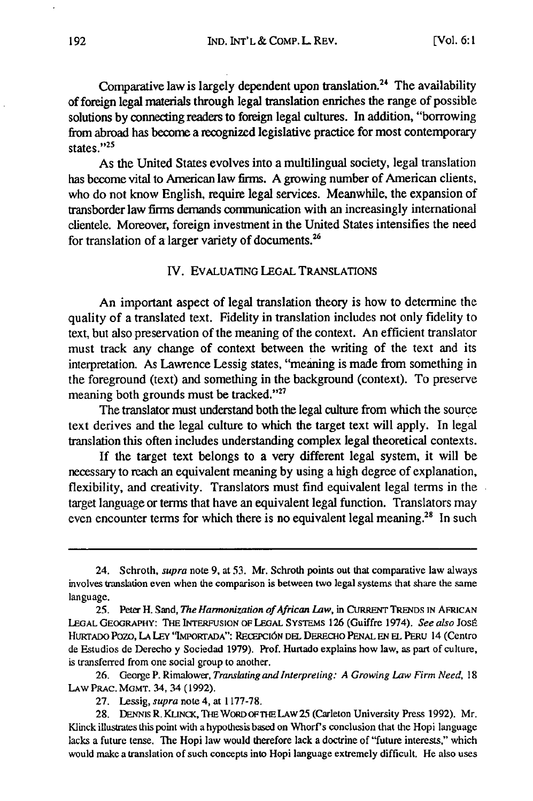Comparative law is largely dependent upon translation.<sup>24</sup> The availability of foreign legal materials through legal translation enriches the range of possible solutions by connecting readers to foreign legal cultures. In addition, "borrowing from abroad has become a recognized legislative practice for most contemporary states."25

As the United States evolves into a multilingual society, legal translation has become vital to American law firms. A growing number of American clients, who do not know English, require legal services. Meanwhile, the expansion of transborder law firms demands communication with an increasingly international clientele. Moreover, foreign investment in the United States intensifies the need for translation of a larger variety of documents. $26$ 

### IV. EVALUATING **LEGAL TRANSLATIONS**

An important aspect of legal translation theory is how to determine the quality of a translated text. Fidelity in translation includes not only fidelity to text, but also preservation of the meaning of the context. An efficient translator must track any change of context between the writing of the text and its interpretation. As Lawrence Lessig states, "meaning is made from something in the foreground (text) and something in the background (context). To preserve meaning both grounds must be tracked."<sup>27</sup>

The translator must understand both the legal culture from which the source text derives and the legal culture to which the target text will apply. In legal translation this often includes understanding complex legal theoretical contexts.

If the target text belongs to a very different legal system, it will be necessary to reach an equivalent meaning by using a high degree of explanation, flexibility, and creativity. Translators must find equivalent legal terms in the target language or terms that have an equivalent legal function. Translators may even encounter terms for which there is no equivalent legal meaning.<sup>28</sup> In such

26. George P. Rimalower, *Translating and Interpreting: A Growing Law Firm Need,* 18 LAw PRAC. MGMT. 34, 34 (1992).

<sup>24.</sup> Schroth, *supra* note **9,** at 53. Mr. Schroth points out that comparative law always involves translation even when the comparison is between two legal systems that share the same language.

<sup>25.</sup> Peter H. Sand, *The Harmonization of African Law,* in CURRENT TRENDS **IN** AFRICAN LEGAL GEOGRAPHY: THE INTERFUSION OF LEGAL SYSTEMS **126** (Guiffre 1974). *See also* Jose HuRTADo Pozo, **LA LEY** '.UoirADA": RECEPCi6N DEL DERECHo **PENAL EN EL** PERU 14 (Centro de Estudios de Derecho y Sociedad 1979). Prof. Hurtado explains how law, as part of culture, is transferred from one social group to another.

<sup>27.</sup> Lessig, *supra* note 4, at 1177-78.

<sup>28.</sup> DENNIS R. KLINCK, THE WORD OF THE LAW 25 (Carleton University Press 1992). Mr. Klinck illustrates this point with a hypothesis based on Whorf's conclusion that the Hopi language lacks a future tense. The Hopi law would therefore lack a doctrine of "future interests," which would make a translation of such concepts into Hopi language extremely difficult. He also uses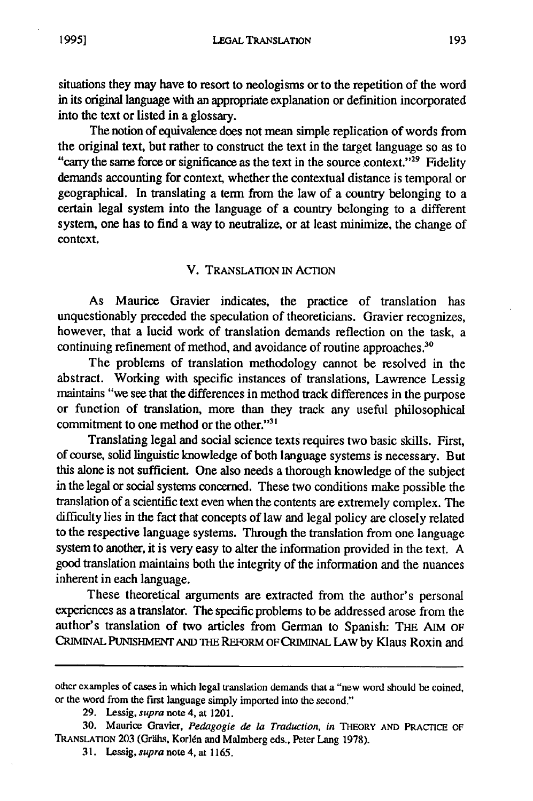situations they may have to resort to neologisms or to the repetition of the word in its original language with an appropriate explanation or definition incorporated into the text or listed in a glossary.

The notion of equivalence does not mean simple replication of words from the original text, but rather to construct the text in the target language so as to "carry the same force or significance as the text in the source context."<sup>29</sup> Fidelity demands accounting for context whether the contextual distance is temporal or geographical. In translating a term from the law of a country belonging to a certain legal system into the language of a country belonging to a different system, one has to find a way to neutralize, or at least minimize, the change of context.

# V. TRANSLATION **IN** ACTION

As Maurice Gravier indicates, the practice of translation has unquestionably preceded the speculation of theoreticians. Gravier recognizes, however, that a lucid work of translation demands reflection on the task, a continuing refinement of method, and avoidance of routine approaches.<sup>30</sup>

The problems of translation methodology cannot be resolved in the abstract. Working with specific instances of translations, Lawrence Lessig maintains "we see that the differences in method track differences in the purpose or function of translation, more than they track any useful philosophical commitment to one method or the other."<sup>31</sup>

Translating legal and social science texts requires two basic skills. First, of course, solid linguistic knowledge of both language systems is necessary. But this alone is not sufficient. One also needs a thorough knowledge of the subject in the legal or social systems concerned. These two conditions make possible the translation of a scientific text even when the contents are extremely complex. The difficulty lies in the fact that concepts of law and legal policy are closely related to the respective language systems. Through the translation from one language system to another, it is very easy to alter the information provided in the text. A good translation maintains both the integrity of the information and the nuances inherent in each language.

These theoretical arguments are extracted from the author's personal experiences as a translator. The specific problems to be addressed arose from the author's translation of two articles from German to Spanish: THE AIM OF CRIMINAL **PUNISHMENT AND THE** REFORM OF CRIMINAL LAW by Klaus Roxin and

other examples of cases in which legal translation demands that a "new word should be coined, or the word from the first language simply imported into the second."

<sup>29.</sup> Lessig, *supra* note 4, at 1201.

<sup>30.</sup> Maurice Gravier, *Pedagogie de la Traduction, in* **THEORY AND** PRACTICE OF TRANSLATION 203 (Grähs, Korlén and Malmberg eds., Peter Lang 1978).

**<sup>3 1.</sup>** Lessig, *supra* note 4, at 1165.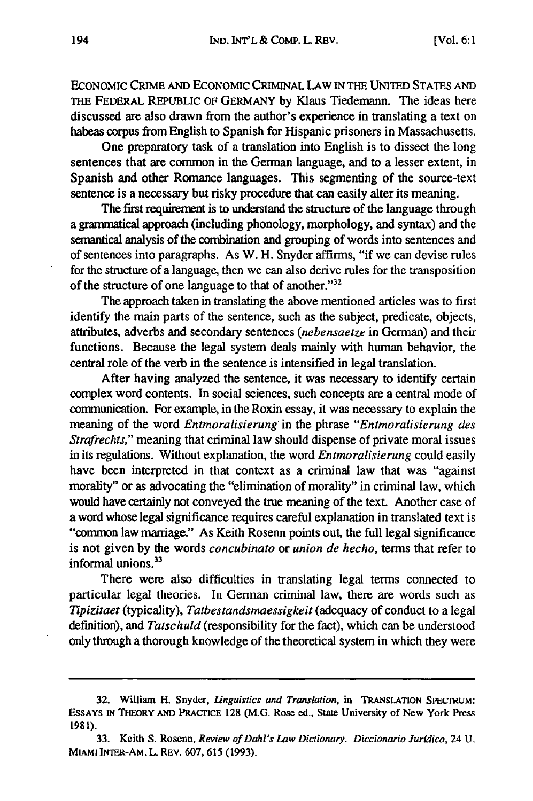ECONOMIC CRIME AND ECONOMIC CRIMINAL LAW IN THE UNITED STATES AND THE FEDERAL REPUBLIC OF GERMANY by Klaus Tiedemann. The ideas here discussed are also drawn from the author's experience in translating a text on habeas corpus from English to Spanish for Hispanic prisoners in Massachusetts.

One preparatory task of a translation into English is to dissect the long sentences that are common in the German language, and to a lesser extent, in Spanish and other Romance languages. This segmenting of the source-text sentence is a necessary but risky procedure that can easily alter its meaning.

The first requirement is to understand the structure of the language through a grammatical approach (including phonology, morphology, and syntax) and the semantical analysis of the combination and grouping of words into sentences and of sentences into paragraphs. As W. H. Snyder affirms, "if we can devise rules for the structure of a language, then we can also derive rules for the transposition of the structure of one language to that of another."32

The approach taken in translating the above mentioned articles was to first identify the main parts of the sentence, such as the subject, predicate, objects, attributes, adverbs and secondary sentences *(nebensaetze* in German) and their functions. Because the legal system deals mainly with human behavior, the central role of the verb in the sentence is intensified in legal translation.

After having analyzed the sentence, it was necessary to identify certain complex word contents. In social sciences, such concepts are a central mode of communication. For example, in the Roxin essay, it was necessary to explain the meaning of the word *Entmoralisierung* in the phrase "*Entmoralisierung des Strafrechts,"* meaning that criminal law should dispense of private moral issues in its regulations. Without explanation, the word *Entmoralisierung* could easily have been interpreted in that context as a criminal law that was "against morality" or as advocating the "elimination of morality" in criminal law, which would have certainly not conveyed the true meaning of the text. Another case of a word whose legal significance requires careful explanation in translated text is "conmon law marriage." As Keith Rosenn points out, the full legal significance is not given by the words *concubinato* or *union de hecho,* terms that refer to informal unions.<sup>33</sup>

There were also difficulties in translating legal terms connected to particular legal theories. In German criminal law, there are words such as *Tipizitaet* (typicality), *Tatbestandsmaessigkeit* (adequacy of conduct to a legal definition), and *Tatschuld* (responsibility for the fact), which can be understood only through a thorough knowledge of the theoretical system in which they were

<sup>32.</sup> William H. Snyder, *Linguistics and Translation*, in TRANSLATION SPECTRUM: ESSAYS **IN THEORY AND** PRACrICE **128 (M.G.** Rose ed., State University of New York Press 1981).

<sup>33.</sup> Keith S. Rosenn, *Review of Dahl's Law Dictionary. Diccionario Juridico,* 24 U. MIAMI Im1ER-AM. L. REV. 607, 615 (1993).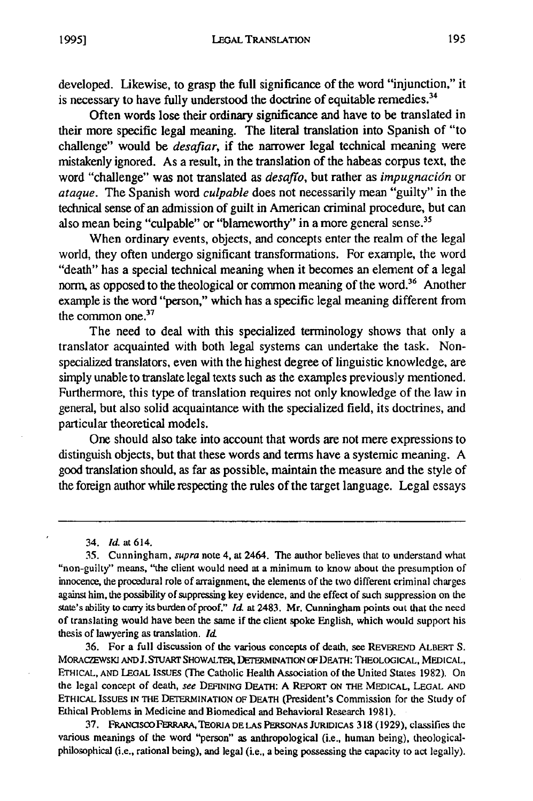developed. Likewise, to grasp the full significance of the word "injunction," it is necessary to have fully understood the doctrine of equitable remedies.<sup>3</sup>

Often words lose their ordinary significance and have to be translated in their more specific legal meaning. The literal translation into Spanish of "to challenge" would be *desafiar*, if the narrower legal technical meaning were mistakenly ignored. As a result, in the translation of the habeas corpus text, the word "challenge" was not translated as desaffo, but rather as *impugnacidn* or *ataque.* The Spanish word *culpable* does not necessarily mean "guilty" in the technical sense of an admission of guilt in American criminal procedure, but can also mean being "culpable" or "blameworthy" in a more general sense.<sup>35</sup>

When ordinary events, objects, and concepts enter the realm of the legal world, they often undergo significant transformations. For example, the word "death" has a special technical meaning when it becomes an element of a legal norm, as opposed to the theological or common meaning of the word.<sup>36</sup> Another example is the word "person," which has a specific legal meaning different from the common one.<sup>37</sup>

The need to deal with this specialized terminology shows that only a translator acquainted with both legal systems can undertake the task. Nonspecialized translators, even with the highest degree of linguistic knowledge, are simply unable to translate legal texts such as the examples previously mentioned. Furthermore, this type of translation requires not only knowledge of the law in general, but also solid acquaintance with the specialized field, its doctrines, and particular theoretical models.

One should also take into account that words are not mere expressions to distinguish objects, but that these words and terms have a systemic meaning. A good translation should, as far as possible, maintain the measure and the style of the foreign author while respecting the rules of the target language. Legal essays

36. For a full discussion of the various concepts of death, see REVEREND ALBERT **S. MORACZEWSKJ AND J. STUART** SHOWALTER, **DETERMINATION** oF **DEATH:** THEOLOGICAL, **MEDICAL, ETHICAL, AND LEGAL** ISSUES (The Catholic Health Association of the United States 1982). On the legal concept of death, *see* DEFINING DEATH: A REPORT ON **THE MEDICAL, LEGAL AND ETHICAL ISSUES IN** THE **DETERmINATION** OF DEATH (President's Commission for the Study of Ethical Problems in Medicine and Biomedical and Behavioral Research 1981).

37. **FASCOPERRARAJ, TEORIA DE LAS PERSONAS JURIDICAS** 318 (1929), classifies the various meanings of the word "person" as anthropological (i.e., human being), theologicalphilosophical (i.e., rational being), and legal (i.e., a being possessing the capacity to act legally).

<sup>34.</sup> Id. at 614.

<sup>35.</sup> Cunningham, *supra* note 4, at 2464. The author believes that to understand what "non-guilty" means, "the client would need at a minimum to know about the presumption of innocence, the procedural role of arraignment, the elements of the two different criminal charges against him, the possibility of suppressing key evidence, and the effect of such suppression on the state's ability to carry its burden of proof." *Id.* at 2483. Mr. Cunningham points out that the need of translating would have been the same if the client spoke English, which would support his thesis of lawyering as translation. *Id*